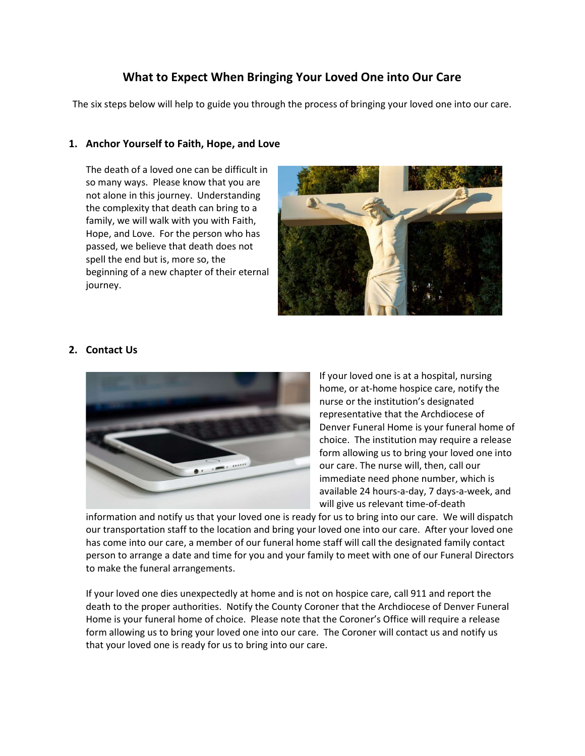# What to Expect When Bringing Your Loved One into Our Care

The six steps below will help to guide you through the process of bringing your loved one into our care.

## 1. Anchor Yourself to Faith, Hope, and Love

The death of a loved one can be difficult in so many ways. Please know that you are not alone in this journey. Understanding the complexity that death can bring to a family, we will walk with you with Faith, Hope, and Love. For the person who has passed, we believe that death does not spell the end but is, more so, the beginning of a new chapter of their eternal journey.



## 2. Contact Us



If your loved one is at a hospital, nursing home, or at-home hospice care, notify the nurse or the institution's designated representative that the Archdiocese of Denver Funeral Home is your funeral home of choice. The institution may require a release form allowing us to bring your loved one into our care. The nurse will, then, call our immediate need phone number, which is available 24 hours-a-day, 7 days-a-week, and will give us relevant time-of-death

information and notify us that your loved one is ready for us to bring into our care. We will dispatch our transportation staff to the location and bring your loved one into our care. After your loved one has come into our care, a member of our funeral home staff will call the designated family contact person to arrange a date and time for you and your family to meet with one of our Funeral Directors to make the funeral arrangements.

If your loved one dies unexpectedly at home and is not on hospice care, call 911 and report the death to the proper authorities. Notify the County Coroner that the Archdiocese of Denver Funeral Home is your funeral home of choice. Please note that the Coroner's Office will require a release form allowing us to bring your loved one into our care. The Coroner will contact us and notify us that your loved one is ready for us to bring into our care.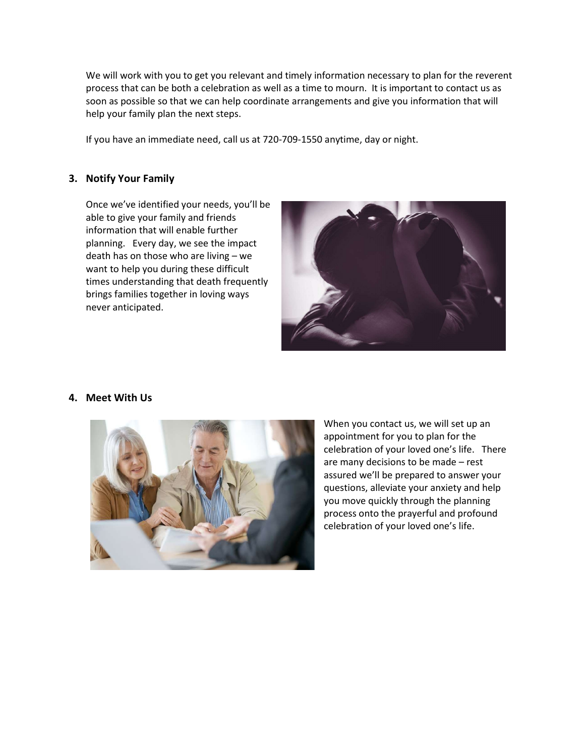We will work with you to get you relevant and timely information necessary to plan for the reverent process that can be both a celebration as well as a time to mourn. It is important to contact us as soon as possible so that we can help coordinate arrangements and give you information that will help your family plan the next steps.

If you have an immediate need, call us at 720-709-1550 anytime, day or night.

## 3. Notify Your Family

Once we've identified your needs, you'll be able to give your family and friends information that will enable further planning. Every day, we see the impact death has on those who are living – we want to help you during these difficult times understanding that death frequently brings families together in loving ways never anticipated.



#### 4. Meet With Us



When you contact us, we will set up an appointment for you to plan for the celebration of your loved one's life. There are many decisions to be made – rest assured we'll be prepared to answer your questions, alleviate your anxiety and help you move quickly through the planning process onto the prayerful and profound celebration of your loved one's life.